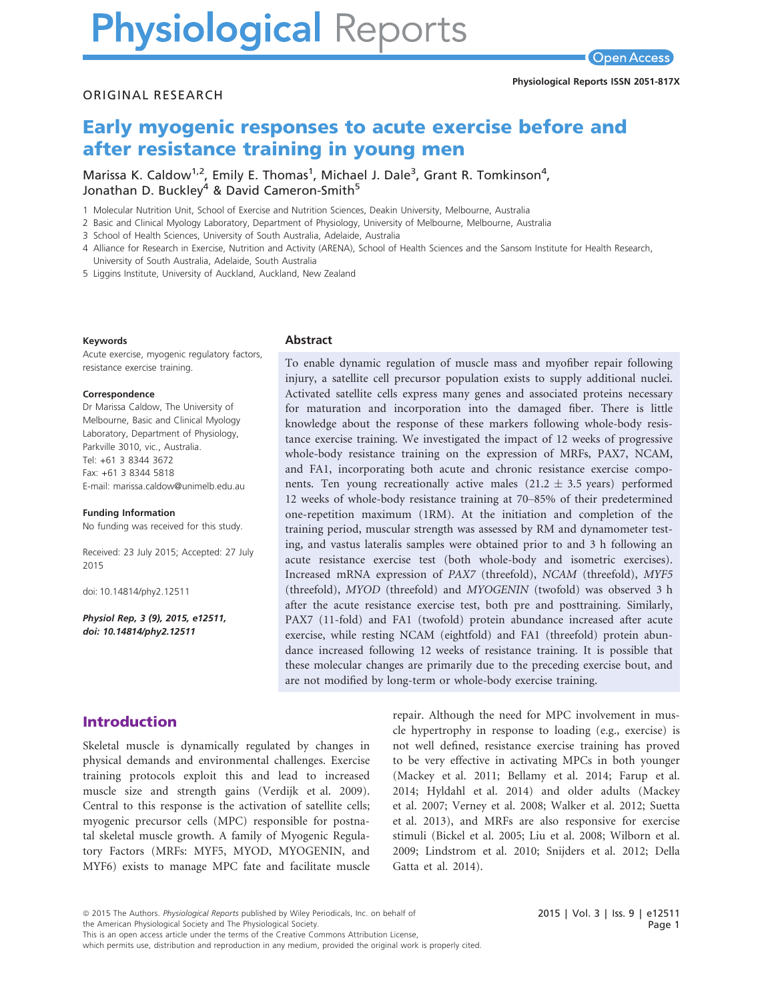# **Physiological Reports**

ORIGINAL RESEARCH

# Early myogenic responses to acute exercise before and after resistance training in young men

Marissa K. Caldow<sup>1,2</sup>, Emily E. Thomas<sup>1</sup>, Michael J. Dale<sup>3</sup>, Grant R. Tomkinson<sup>4</sup>, Jonathan D. Buckley<sup>4</sup> & David Cameron-Smith<sup>5</sup>

1 Molecular Nutrition Unit, School of Exercise and Nutrition Sciences, Deakin University, Melbourne, Australia

Abstract

2 Basic and Clinical Myology Laboratory, Department of Physiology, University of Melbourne, Melbourne, Australia

3 School of Health Sciences, University of South Australia, Adelaide, Australia

4 Alliance for Research in Exercise, Nutrition and Activity (ARENA), School of Health Sciences and the Sansom Institute for Health Research, University of South Australia, Adelaide, South Australia

5 Liggins Institute, University of Auckland, Auckland, New Zealand

#### Keywords

Acute exercise, myogenic regulatory factors, resistance exercise training.

#### Correspondence

Dr Marissa Caldow, The University of Melbourne, Basic and Clinical Myology Laboratory, Department of Physiology, Parkville 3010, vic., Australia. Tel: +61 3 8344 3672 Fax: +61 3 8344 5818 E-mail: marissa.caldow@unimelb.edu.au

#### Funding Information

No funding was received for this study.

Received: 23 July 2015; Accepted: 27 July 2015

doi: 10.14814/phy2.12511

Physiol Rep, 3 (9), 2015, e12511, doi: [10.14814/phy2.12511](info:doi/10.14814/phy2.12511)

To enable dynamic regulation of muscle mass and myofiber repair following injury, a satellite cell precursor population exists to supply additional nuclei. Activated satellite cells express many genes and associated proteins necessary for maturation and incorporation into the damaged fiber. There is little knowledge about the response of these markers following whole-body resistance exercise training. We investigated the impact of 12 weeks of progressive whole-body resistance training on the expression of MRFs, PAX7, NCAM, and FA1, incorporating both acute and chronic resistance exercise components. Ten young recreationally active males  $(21.2 \pm 3.5 \text{ years})$  performed 12 weeks of whole-body resistance training at 70–85% of their predetermined one-repetition maximum (1RM). At the initiation and completion of the training period, muscular strength was assessed by RM and dynamometer testing, and vastus lateralis samples were obtained prior to and 3 h following an acute resistance exercise test (both whole-body and isometric exercises). Increased mRNA expression of PAX7 (threefold), NCAM (threefold), MYF5 (threefold), MYOD (threefold) and MYOGENIN (twofold) was observed 3 h after the acute resistance exercise test, both pre and posttraining. Similarly, PAX7 (11-fold) and FA1 (twofold) protein abundance increased after acute exercise, while resting NCAM (eightfold) and FA1 (threefold) protein abundance increased following 12 weeks of resistance training. It is possible that these molecular changes are primarily due to the preceding exercise bout, and are not modified by long-term or whole-body exercise training.

# Introduction

Skeletal muscle is dynamically regulated by changes in physical demands and environmental challenges. Exercise training protocols exploit this and lead to increased muscle size and strength gains (Verdijk et al. 2009). Central to this response is the activation of satellite cells; myogenic precursor cells (MPC) responsible for postnatal skeletal muscle growth. A family of Myogenic Regulatory Factors (MRFs: MYF5, MYOD, MYOGENIN, and MYF6) exists to manage MPC fate and facilitate muscle repair. Although the need for MPC involvement in muscle hypertrophy in response to loading (e.g., exercise) is not well defined, resistance exercise training has proved to be very effective in activating MPCs in both younger (Mackey et al. 2011; Bellamy et al. 2014; Farup et al. 2014; Hyldahl et al. 2014) and older adults (Mackey et al. 2007; Verney et al. 2008; Walker et al. 2012; Suetta et al. 2013), and MRFs are also responsive for exercise stimuli (Bickel et al. 2005; Liu et al. 2008; Wilborn et al. 2009; Lindstrom et al. 2010; Snijders et al. 2012; Della Gatta et al. 2014).

the American Physiological Society and The Physiological Society.

which permits use, distribution and reproduction in any medium, provided the original work is properly cited.

<sup>ª</sup> 2015 The Authors. Physiological Reports published by Wiley Periodicals, Inc. on behalf of

This is an open access article under the terms of the [Creative Commons Attribution](http://creativecommons.org/licenses/by/4.0/) License,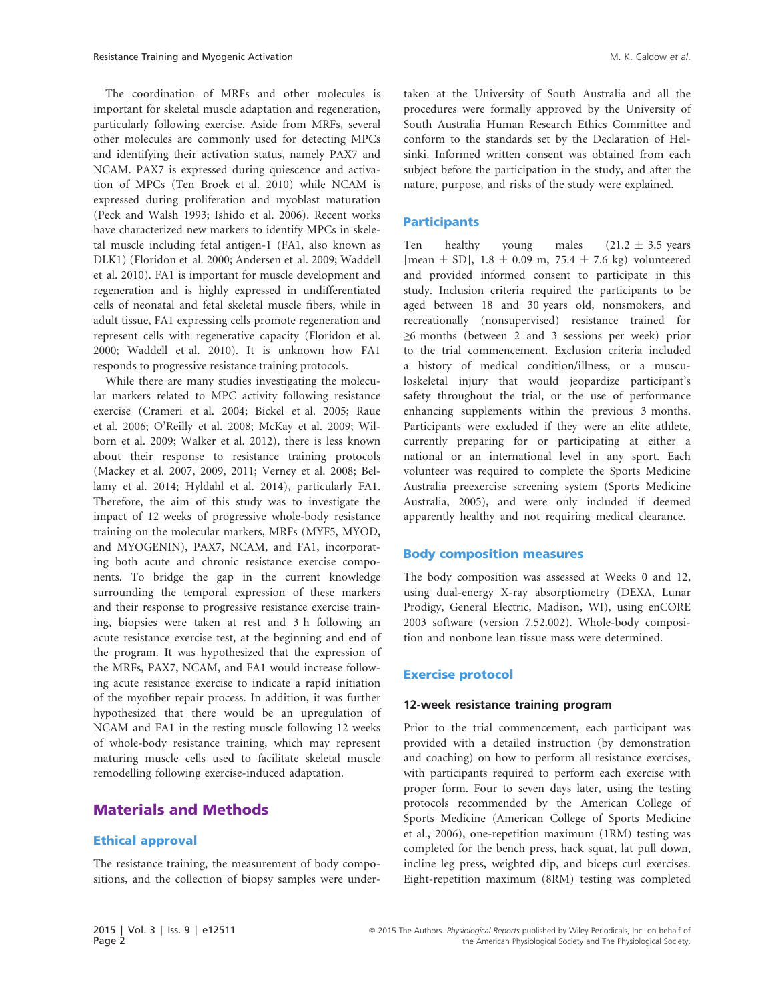The coordination of MRFs and other molecules is important for skeletal muscle adaptation and regeneration, particularly following exercise. Aside from MRFs, several other molecules are commonly used for detecting MPCs and identifying their activation status, namely PAX7 and NCAM. PAX7 is expressed during quiescence and activation of MPCs (Ten Broek et al. 2010) while NCAM is expressed during proliferation and myoblast maturation (Peck and Walsh 1993; Ishido et al. 2006). Recent works have characterized new markers to identify MPCs in skeletal muscle including fetal antigen-1 (FA1, also known as DLK1) (Floridon et al. 2000; Andersen et al. 2009; Waddell et al. 2010). FA1 is important for muscle development and regeneration and is highly expressed in undifferentiated cells of neonatal and fetal skeletal muscle fibers, while in adult tissue, FA1 expressing cells promote regeneration and represent cells with regenerative capacity (Floridon et al. 2000; Waddell et al. 2010). It is unknown how FA1 responds to progressive resistance training protocols.

While there are many studies investigating the molecular markers related to MPC activity following resistance exercise (Crameri et al. 2004; Bickel et al. 2005; Raue et al. 2006; O'Reilly et al. 2008; McKay et al. 2009; Wilborn et al. 2009; Walker et al. 2012), there is less known about their response to resistance training protocols (Mackey et al. 2007, 2009, 2011; Verney et al. 2008; Bellamy et al. 2014; Hyldahl et al. 2014), particularly FA1. Therefore, the aim of this study was to investigate the impact of 12 weeks of progressive whole-body resistance training on the molecular markers, MRFs (MYF5, MYOD, and MYOGENIN), PAX7, NCAM, and FA1, incorporating both acute and chronic resistance exercise components. To bridge the gap in the current knowledge surrounding the temporal expression of these markers and their response to progressive resistance exercise training, biopsies were taken at rest and 3 h following an acute resistance exercise test, at the beginning and end of the program. It was hypothesized that the expression of the MRFs, PAX7, NCAM, and FA1 would increase following acute resistance exercise to indicate a rapid initiation of the myofiber repair process. In addition, it was further hypothesized that there would be an upregulation of NCAM and FA1 in the resting muscle following 12 weeks of whole-body resistance training, which may represent maturing muscle cells used to facilitate skeletal muscle remodelling following exercise-induced adaptation.

# Materials and Methods

#### Ethical approval

The resistance training, the measurement of body compositions, and the collection of biopsy samples were undertaken at the University of South Australia and all the procedures were formally approved by the University of South Australia Human Research Ethics Committee and conform to the standards set by the Declaration of Helsinki. Informed written consent was obtained from each subject before the participation in the study, and after the nature, purpose, and risks of the study were explained.

#### **Participants**

Ten healthy young males  $(21.2 \pm 3.5 \text{ years})$ [mean  $\pm$  SD], 1.8  $\pm$  0.09 m, 75.4  $\pm$  7.6 kg) volunteered and provided informed consent to participate in this study. Inclusion criteria required the participants to be aged between 18 and 30 years old, nonsmokers, and recreationally (nonsupervised) resistance trained for ≥6 months (between 2 and 3 sessions per week) prior to the trial commencement. Exclusion criteria included a history of medical condition/illness, or a musculoskeletal injury that would jeopardize participant's safety throughout the trial, or the use of performance enhancing supplements within the previous 3 months. Participants were excluded if they were an elite athlete, currently preparing for or participating at either a national or an international level in any sport. Each volunteer was required to complete the Sports Medicine Australia preexercise screening system (Sports Medicine Australia, 2005), and were only included if deemed apparently healthy and not requiring medical clearance.

#### Body composition measures

The body composition was assessed at Weeks 0 and 12, using dual-energy X-ray absorptiometry (DEXA, Lunar Prodigy, General Electric, Madison, WI), using enCORE 2003 software (version 7.52.002). Whole-body composition and nonbone lean tissue mass were determined.

#### Exercise protocol

#### 12-week resistance training program

Prior to the trial commencement, each participant was provided with a detailed instruction (by demonstration and coaching) on how to perform all resistance exercises, with participants required to perform each exercise with proper form. Four to seven days later, using the testing protocols recommended by the American College of Sports Medicine (American College of Sports Medicine et al., 2006), one-repetition maximum (1RM) testing was completed for the bench press, hack squat, lat pull down, incline leg press, weighted dip, and biceps curl exercises. Eight-repetition maximum (8RM) testing was completed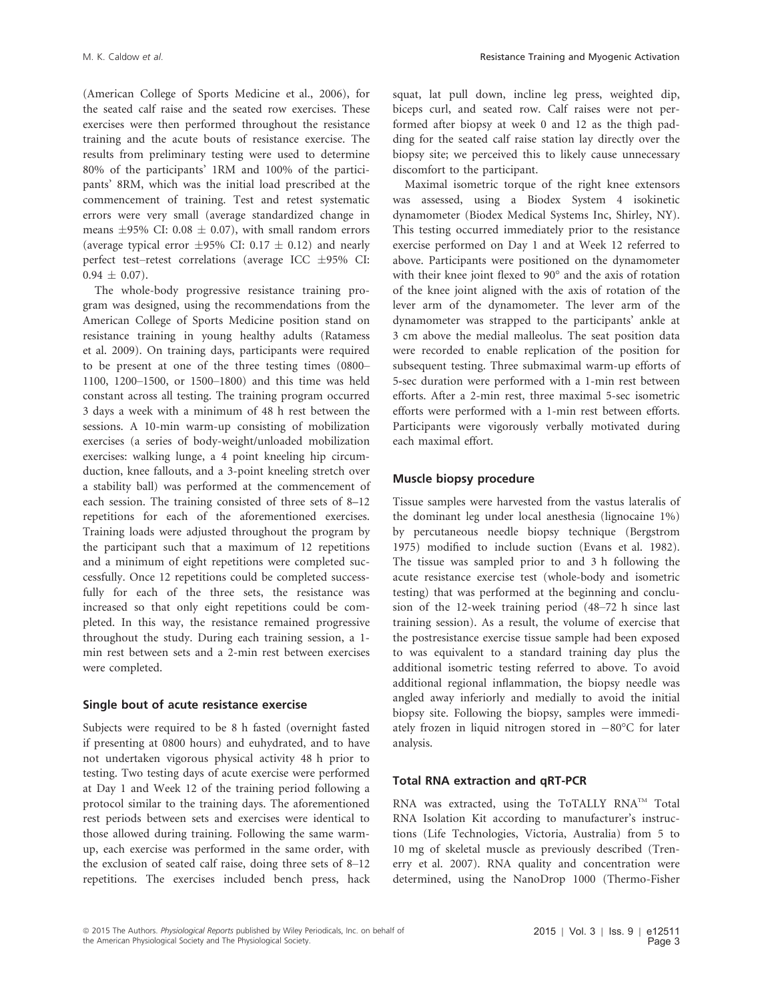(American College of Sports Medicine et al., 2006), for the seated calf raise and the seated row exercises. These exercises were then performed throughout the resistance training and the acute bouts of resistance exercise. The results from preliminary testing were used to determine 80% of the participants' 1RM and 100% of the participants' 8RM, which was the initial load prescribed at the commencement of training. Test and retest systematic errors were very small (average standardized change in means  $\pm 95\%$  CI: 0.08  $\pm$  0.07), with small random errors (average typical error  $\pm 95\%$  CI: 0.17  $\pm$  0.12) and nearly perfect test–retest correlations (average ICC  $\pm$ 95% CI:  $0.94 \pm 0.07$ ).

The whole-body progressive resistance training program was designed, using the recommendations from the American College of Sports Medicine position stand on resistance training in young healthy adults (Ratamess et al. 2009). On training days, participants were required to be present at one of the three testing times (0800– 1100, 1200–1500, or 1500–1800) and this time was held constant across all testing. The training program occurred 3 days a week with a minimum of 48 h rest between the sessions. A 10-min warm-up consisting of mobilization exercises (a series of body-weight/unloaded mobilization exercises: walking lunge, a 4 point kneeling hip circumduction, knee fallouts, and a 3-point kneeling stretch over a stability ball) was performed at the commencement of each session. The training consisted of three sets of 8–12 repetitions for each of the aforementioned exercises. Training loads were adjusted throughout the program by the participant such that a maximum of 12 repetitions and a minimum of eight repetitions were completed successfully. Once 12 repetitions could be completed successfully for each of the three sets, the resistance was increased so that only eight repetitions could be completed. In this way, the resistance remained progressive throughout the study. During each training session, a 1 min rest between sets and a 2-min rest between exercises were completed.

#### Single bout of acute resistance exercise

Subjects were required to be 8 h fasted (overnight fasted if presenting at 0800 hours) and euhydrated, and to have not undertaken vigorous physical activity 48 h prior to testing. Two testing days of acute exercise were performed at Day 1 and Week 12 of the training period following a protocol similar to the training days. The aforementioned rest periods between sets and exercises were identical to those allowed during training. Following the same warmup, each exercise was performed in the same order, with the exclusion of seated calf raise, doing three sets of 8–12 repetitions. The exercises included bench press, hack squat, lat pull down, incline leg press, weighted dip, biceps curl, and seated row. Calf raises were not performed after biopsy at week 0 and 12 as the thigh padding for the seated calf raise station lay directly over the biopsy site; we perceived this to likely cause unnecessary discomfort to the participant.

Maximal isometric torque of the right knee extensors was assessed, using a Biodex System 4 isokinetic dynamometer (Biodex Medical Systems Inc, Shirley, NY). This testing occurred immediately prior to the resistance exercise performed on Day 1 and at Week 12 referred to above. Participants were positioned on the dynamometer with their knee joint flexed to 90° and the axis of rotation of the knee joint aligned with the axis of rotation of the lever arm of the dynamometer. The lever arm of the dynamometer was strapped to the participants' ankle at 3 cm above the medial malleolus. The seat position data were recorded to enable replication of the position for subsequent testing. Three submaximal warm-up efforts of 5-sec duration were performed with a 1-min rest between efforts. After a 2-min rest, three maximal 5-sec isometric efforts were performed with a 1-min rest between efforts. Participants were vigorously verbally motivated during each maximal effort.

#### Muscle biopsy procedure

Tissue samples were harvested from the vastus lateralis of the dominant leg under local anesthesia (lignocaine 1%) by percutaneous needle biopsy technique (Bergstrom 1975) modified to include suction (Evans et al. 1982). The tissue was sampled prior to and 3 h following the acute resistance exercise test (whole-body and isometric testing) that was performed at the beginning and conclusion of the 12-week training period (48–72 h since last training session). As a result, the volume of exercise that the postresistance exercise tissue sample had been exposed to was equivalent to a standard training day plus the additional isometric testing referred to above. To avoid additional regional inflammation, the biopsy needle was angled away inferiorly and medially to avoid the initial biopsy site. Following the biopsy, samples were immediately frozen in liquid nitrogen stored in  $-80^{\circ}$ C for later analysis.

#### Total RNA extraction and qRT-PCR

RNA was extracted, using the ToTALLY RNA™ Total RNA Isolation Kit according to manufacturer's instructions (Life Technologies, Victoria, Australia) from 5 to 10 mg of skeletal muscle as previously described (Trenerry et al. 2007). RNA quality and concentration were determined, using the NanoDrop 1000 (Thermo-Fisher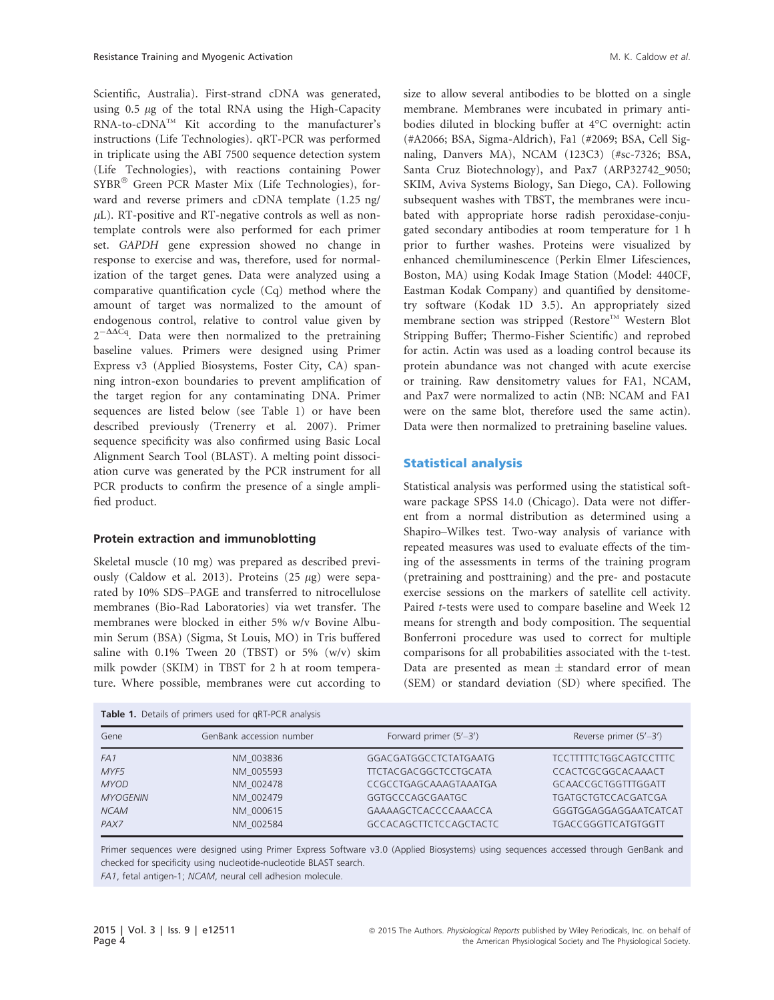Scientific, Australia). First-strand cDNA was generated, using  $0.5 \mu$ g of the total RNA using the High-Capacity  $RNA-to-cDNA<sup>TM</sup>$  Kit according to the manufacturer's instructions (Life Technologies). qRT-PCR was performed in triplicate using the ABI 7500 sequence detection system (Life Technologies), with reactions containing Power SYBR® Green PCR Master Mix (Life Technologies), forward and reverse primers and cDNA template (1.25 ng/  $\mu$ L). RT-positive and RT-negative controls as well as nontemplate controls were also performed for each primer set. GAPDH gene expression showed no change in response to exercise and was, therefore, used for normalization of the target genes. Data were analyzed using a comparative quantification cycle (Cq) method where the amount of target was normalized to the amount of endogenous control, relative to control value given by  $2^{-\Delta\Delta Cq}$ . Data were then normalized to the pretraining baseline values. Primers were designed using Primer Express v3 (Applied Biosystems, Foster City, CA) spanning intron-exon boundaries to prevent amplification of the target region for any contaminating DNA. Primer sequences are listed below (see Table 1) or have been described previously (Trenerry et al. 2007). Primer sequence specificity was also confirmed using Basic Local Alignment Search Tool (BLAST). A melting point dissociation curve was generated by the PCR instrument for all PCR products to confirm the presence of a single amplified product.

#### Protein extraction and immunoblotting

 $T$  and  $T$ -primers used for  $T$ -PCR analysis used for  $T$ -PCR analysis used for  $T$ -PCR analysis  $T$ 

Skeletal muscle (10 mg) was prepared as described previously (Caldow et al. 2013). Proteins (25  $\mu$ g) were separated by 10% SDS–PAGE and transferred to nitrocellulose membranes (Bio-Rad Laboratories) via wet transfer. The membranes were blocked in either 5% w/v Bovine Albumin Serum (BSA) (Sigma, St Louis, MO) in Tris buffered saline with 0.1% Tween 20 (TBST) or 5% (w/v) skim milk powder (SKIM) in TBST for 2 h at room temperature. Where possible, membranes were cut according to size to allow several antibodies to be blotted on a single membrane. Membranes were incubated in primary antibodies diluted in blocking buffer at 4°C overnight: actin (#A2066; BSA, Sigma-Aldrich), Fa1 (#2069; BSA, Cell Signaling, Danvers MA), NCAM (123C3) (#sc-7326; BSA, Santa Cruz Biotechnology), and Pax7 (ARP32742\_9050; SKIM, Aviva Systems Biology, San Diego, CA). Following subsequent washes with TBST, the membranes were incubated with appropriate horse radish peroxidase-conjugated secondary antibodies at room temperature for 1 h prior to further washes. Proteins were visualized by enhanced chemiluminescence (Perkin Elmer Lifesciences, Boston, MA) using Kodak Image Station (Model: 440CF, Eastman Kodak Company) and quantified by densitometry software (Kodak 1D 3.5). An appropriately sized membrane section was stripped (Restore™ Western Blot Stripping Buffer; Thermo-Fisher Scientific) and reprobed for actin. Actin was used as a loading control because its protein abundance was not changed with acute exercise or training. Raw densitometry values for FA1, NCAM, and Pax7 were normalized to actin (NB: NCAM and FA1 were on the same blot, therefore used the same actin). Data were then normalized to pretraining baseline values.

#### Statistical analysis

Statistical analysis was performed using the statistical software package SPSS 14.0 (Chicago). Data were not different from a normal distribution as determined using a Shapiro–Wilkes test. Two-way analysis of variance with repeated measures was used to evaluate effects of the timing of the assessments in terms of the training program (pretraining and posttraining) and the pre- and postacute exercise sessions on the markers of satellite cell activity. Paired t-tests were used to compare baseline and Week 12 means for strength and body composition. The sequential Bonferroni procedure was used to correct for multiple comparisons for all probabilities associated with the t-test. Data are presented as mean  $\pm$  standard error of mean (SEM) or standard deviation (SD) where specified. The

| <b>Table 1.</b> Details of primers used for GRT-PCR analysis |                          |                               |                               |  |  |  |  |
|--------------------------------------------------------------|--------------------------|-------------------------------|-------------------------------|--|--|--|--|
| Gene                                                         | GenBank accession number | Forward primer $(5'-3')$      | Reverse primer $(5'-3')$      |  |  |  |  |
| FA1                                                          | NM 003836                | GGACGATGGCCTCTATGAATG         | <b>TCCTTTTTCTGGCAGTCCTTTC</b> |  |  |  |  |
| MYF5                                                         | NM 005593                | <b>TTCTACGACGGCTCCTGCATA</b>  | CCACTCGCGGCACAAACT            |  |  |  |  |
| <b>MYOD</b>                                                  | NM 002478                | CCGCCTGAGCAAAGTAAATGA         | GCAACCGCTGGTTTGGATT           |  |  |  |  |
| <b>MYOGENIN</b>                                              | NM 002479                | GGTGCCCAGCGAATGC              | <b>TGATGCTGTCCACGATCGA</b>    |  |  |  |  |
| <b>NCAM</b>                                                  | NM 000615                | GAAAAGCTCACCCCAAACCA          | GGGTGGAGGAGGAATCATCAT         |  |  |  |  |
| PAX7                                                         | NM 002584                | <b>GCCACAGCTTCTCCAGCTACTC</b> | TGACCGGGTTCATGTGGTT           |  |  |  |  |

Primer sequences were designed using Primer Express Software v3.0 (Applied Biosystems) using sequences accessed through GenBank and checked for specificity using nucleotide-nucleotide BLAST search.

FA1, fetal antigen-1; NCAM, neural cell adhesion molecule.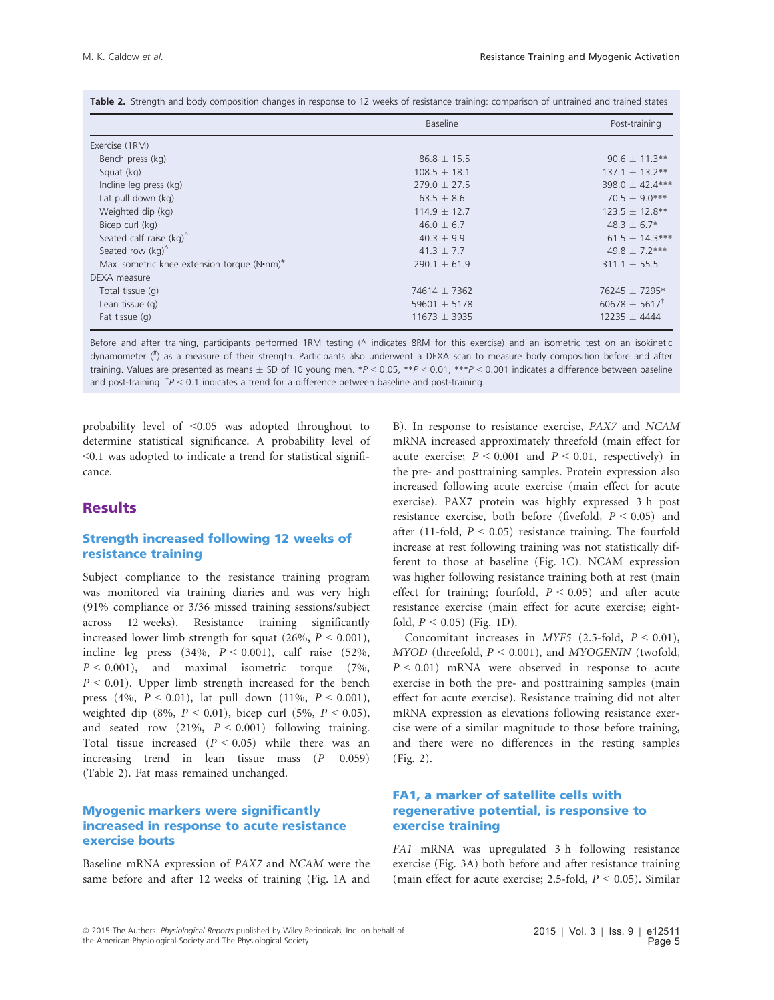|  |  |  |  |  |  |  |  |  |  |  | Table 2. Strength and body composition changes in response to 12 weeks of resistance training: comparison of untrained and trained states |  |  |  |  |
|--|--|--|--|--|--|--|--|--|--|--|-------------------------------------------------------------------------------------------------------------------------------------------|--|--|--|--|
|--|--|--|--|--|--|--|--|--|--|--|-------------------------------------------------------------------------------------------------------------------------------------------|--|--|--|--|

|                                             | <b>Baseline</b>  | Post-training              |
|---------------------------------------------|------------------|----------------------------|
| Exercise (1RM)                              |                  |                            |
| Bench press (kg)                            | $86.8 \pm 15.5$  | $90.6 \pm 11.3***$         |
| Squat (kg)                                  | $108.5 \pm 18.1$ | $137.1 \pm 13.2**$         |
| Incline leg press (kg)                      | $279.0 \pm 27.5$ | 398.0 ± 42.4***            |
| Lat pull down (kg)                          | $63.5 \pm 8.6$   | $70.5 \pm 9.0***$          |
| Weighted dip (kg)                           | $114.9 + 12.7$   | $123.5 \pm 12.8$ **        |
| Bicep curl (kg)                             | $46.0 \pm 6.7$   | $48.3 \pm 6.7*$            |
| Seated calf raise $(kq)^{\wedge}$           | $40.3 \pm 9.9$   | $61.5 \pm 14.3***$         |
| Seated row (kg)                             | $41.3 \pm 7.7$   | $49.8 \pm 7.2***$          |
| Max isometric knee extension torque (N•nm)# | $290.1 \pm 61.9$ | $311.1 \pm 55.5$           |
| DEXA measure                                |                  |                            |
| Total tissue (g)                            | 74614 $\pm$ 7362 | 76245 ± 7295*              |
| Lean tissue $(q)$                           | 59601 $\pm$ 5178 | $60678 \pm 5617^{\dagger}$ |
| Fat tissue $(q)$                            | $11673 \pm 3935$ | $12235 \pm 4444$           |

Before and after training, participants performed 1RM testing (^ indicates 8RM for this exercise) and an isometric test on an isokinetic dynamometer (# ) as a measure of their strength. Participants also underwent a DEXA scan to measure body composition before and after training. Values are presented as means  $\pm$  SD of 10 young men. \*P < 0.05, \*\*P < 0.01, \*\*\*P < 0.001 indicates a difference between baseline and post-training.  $\hbar$   $>$  0.1 indicates a trend for a difference between baseline and post-training.

probability level of <0.05 was adopted throughout to determine statistical significance. A probability level of <0.1 was adopted to indicate a trend for statistical significance.

# **Results**

#### Strength increased following 12 weeks of resistance training

Subject compliance to the resistance training program was monitored via training diaries and was very high (91% compliance or 3/36 missed training sessions/subject across 12 weeks). Resistance training significantly increased lower limb strength for squat  $(26\%, P \le 0.001)$ , incline leg press  $(34\%, P < 0.001)$ , calf raise  $(52\%,$  $P < 0.001$ ), and maximal isometric torque (7%,  $P \le 0.01$ ). Upper limb strength increased for the bench press (4%,  $P < 0.01$ ), lat pull down (11%,  $P < 0.001$ ), weighted dip (8%,  $P < 0.01$ ), bicep curl (5%,  $P < 0.05$ ), and seated row  $(21\%, P < 0.001)$  following training. Total tissue increased  $(P < 0.05)$  while there was an increasing trend in lean tissue mass  $(P = 0.059)$ (Table 2). Fat mass remained unchanged.

#### Myogenic markers were significantly increased in response to acute resistance exercise bouts

Baseline mRNA expression of PAX7 and NCAM were the same before and after 12 weeks of training (Fig. 1A and

B). In response to resistance exercise, PAX7 and NCAM mRNA increased approximately threefold (main effect for acute exercise;  $P \le 0.001$  and  $P \le 0.01$ , respectively) in the pre- and posttraining samples. Protein expression also increased following acute exercise (main effect for acute exercise). PAX7 protein was highly expressed 3 h post resistance exercise, both before (fivefold,  $P < 0.05$ ) and after (11-fold,  $P \le 0.05$ ) resistance training. The fourfold increase at rest following training was not statistically different to those at baseline (Fig. 1C). NCAM expression was higher following resistance training both at rest (main effect for training; fourfold,  $P < 0.05$ ) and after acute resistance exercise (main effect for acute exercise; eightfold,  $P < 0.05$ ) (Fig. 1D).

Concomitant increases in MYF5 (2.5-fold,  $P < 0.01$ ),  $MYOD$  (threefold,  $P < 0.001$ ), and  $MYOGENIN$  (twofold,  $P < 0.01$ ) mRNA were observed in response to acute exercise in both the pre- and posttraining samples (main effect for acute exercise). Resistance training did not alter mRNA expression as elevations following resistance exercise were of a similar magnitude to those before training, and there were no differences in the resting samples (Fig. 2).

#### FA1, a marker of satellite cells with regenerative potential, is responsive to exercise training

FA1 mRNA was upregulated 3 h following resistance exercise (Fig. 3A) both before and after resistance training (main effect for acute exercise; 2.5-fold,  $P \le 0.05$ ). Similar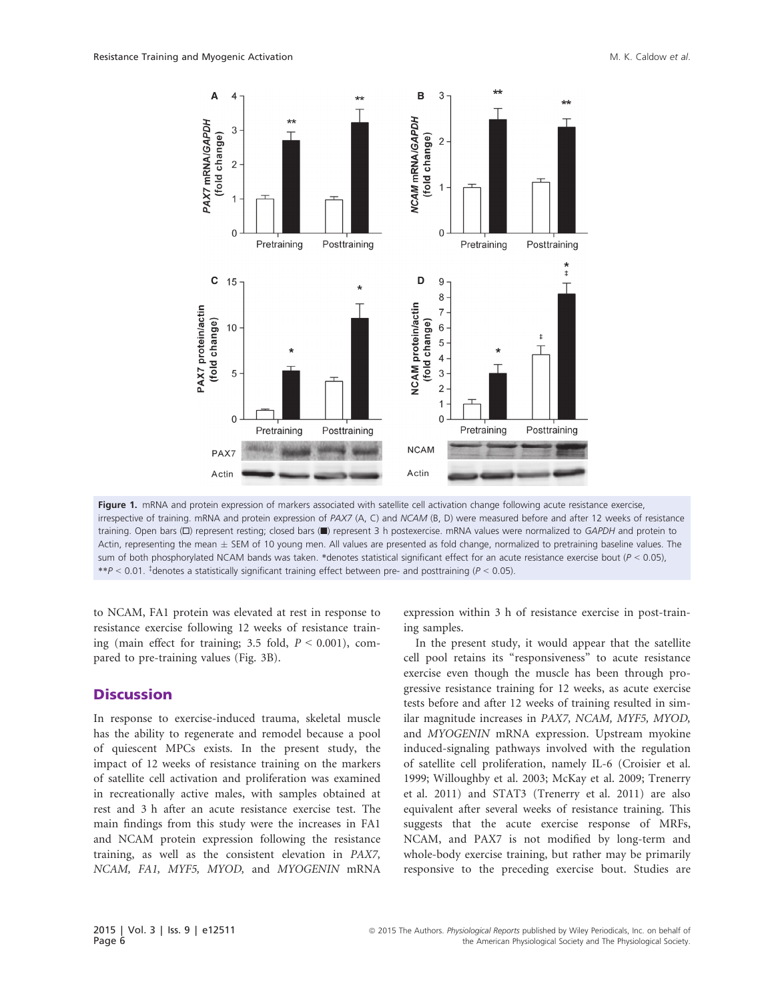

Figure 1. mRNA and protein expression of markers associated with satellite cell activation change following acute resistance exercise, irrespective of training. mRNA and protein expression of PAX7 (A, C) and NCAM (B, D) were measured before and after 12 weeks of resistance training. Open bars (□) represent resting; closed bars (■) represent 3 h postexercise. mRNA values were normalized to GAPDH and protein to Actin, representing the mean  $\pm$  SEM of 10 young men. All values are presented as fold change, normalized to pretraining baseline values. The sum of both phosphorylated NCAM bands was taken. \*denotes statistical significant effect for an acute resistance exercise bout ( $P < 0.05$ ), \*\*P < 0.01. <sup>‡</sup>denotes a statistically significant training effect between pre- and posttraining (P < 0.05).

to NCAM, FA1 protein was elevated at rest in response to resistance exercise following 12 weeks of resistance training (main effect for training; 3.5 fold,  $P \le 0.001$ ), compared to pre-training values (Fig. 3B).

### **Discussion**

In response to exercise-induced trauma, skeletal muscle has the ability to regenerate and remodel because a pool of quiescent MPCs exists. In the present study, the impact of 12 weeks of resistance training on the markers of satellite cell activation and proliferation was examined in recreationally active males, with samples obtained at rest and 3 h after an acute resistance exercise test. The main findings from this study were the increases in FA1 and NCAM protein expression following the resistance training, as well as the consistent elevation in PAX7, NCAM, FA1, MYF5, MYOD, and MYOGENIN mRNA expression within 3 h of resistance exercise in post-training samples.

In the present study, it would appear that the satellite cell pool retains its "responsiveness" to acute resistance exercise even though the muscle has been through progressive resistance training for 12 weeks, as acute exercise tests before and after 12 weeks of training resulted in similar magnitude increases in PAX7, NCAM, MYF5, MYOD, and MYOGENIN mRNA expression. Upstream myokine induced-signaling pathways involved with the regulation of satellite cell proliferation, namely IL-6 (Croisier et al. 1999; Willoughby et al. 2003; McKay et al. 2009; Trenerry et al. 2011) and STAT3 (Trenerry et al. 2011) are also equivalent after several weeks of resistance training. This suggests that the acute exercise response of MRFs, NCAM, and PAX7 is not modified by long-term and whole-body exercise training, but rather may be primarily responsive to the preceding exercise bout. Studies are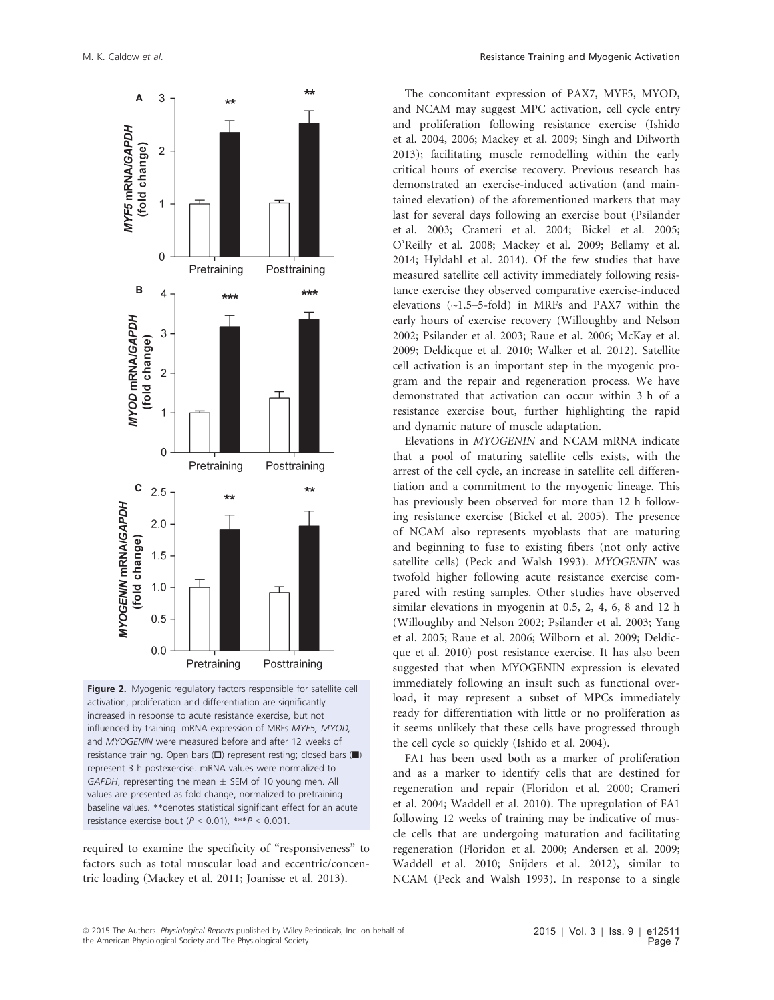

Figure 2. Myogenic regulatory factors responsible for satellite cell activation, proliferation and differentiation are significantly increased in response to acute resistance exercise, but not influenced by training. mRNA expression of MRFs MYF5, MYOD, and MYOGENIN were measured before and after 12 weeks of resistance training. Open bars (□) represent resting; closed bars (■) represent 3 h postexercise. mRNA values were normalized to GAPDH, representing the mean  $\pm$  SEM of 10 young men. All values are presented as fold change, normalized to pretraining baseline values. \*\*denotes statistical significant effect for an acute resistance exercise bout  $(P < 0.01)$ , \*\*\* $P < 0.001$ 

required to examine the specificity of "responsiveness" to factors such as total muscular load and eccentric/concentric loading (Mackey et al. 2011; Joanisse et al. 2013).

The concomitant expression of PAX7, MYF5, MYOD, and NCAM may suggest MPC activation, cell cycle entry and proliferation following resistance exercise (Ishido et al. 2004, 2006; Mackey et al. 2009; Singh and Dilworth 2013); facilitating muscle remodelling within the early critical hours of exercise recovery. Previous research has demonstrated an exercise-induced activation (and maintained elevation) of the aforementioned markers that may last for several days following an exercise bout (Psilander et al. 2003; Crameri et al. 2004; Bickel et al. 2005; O'Reilly et al. 2008; Mackey et al. 2009; Bellamy et al. 2014; Hyldahl et al. 2014). Of the few studies that have measured satellite cell activity immediately following resistance exercise they observed comparative exercise-induced elevations (~1.5–5-fold) in MRFs and PAX7 within the early hours of exercise recovery (Willoughby and Nelson 2002; Psilander et al. 2003; Raue et al. 2006; McKay et al. 2009; Deldicque et al. 2010; Walker et al. 2012). Satellite cell activation is an important step in the myogenic program and the repair and regeneration process. We have demonstrated that activation can occur within 3 h of a resistance exercise bout, further highlighting the rapid and dynamic nature of muscle adaptation.

Elevations in MYOGENIN and NCAM mRNA indicate that a pool of maturing satellite cells exists, with the arrest of the cell cycle, an increase in satellite cell differentiation and a commitment to the myogenic lineage. This has previously been observed for more than 12 h following resistance exercise (Bickel et al. 2005). The presence of NCAM also represents myoblasts that are maturing and beginning to fuse to existing fibers (not only active satellite cells) (Peck and Walsh 1993). MYOGENIN was twofold higher following acute resistance exercise compared with resting samples. Other studies have observed similar elevations in myogenin at 0.5, 2, 4, 6, 8 and 12 h (Willoughby and Nelson 2002; Psilander et al. 2003; Yang et al. 2005; Raue et al. 2006; Wilborn et al. 2009; Deldicque et al. 2010) post resistance exercise. It has also been suggested that when MYOGENIN expression is elevated immediately following an insult such as functional overload, it may represent a subset of MPCs immediately ready for differentiation with little or no proliferation as it seems unlikely that these cells have progressed through the cell cycle so quickly (Ishido et al. 2004).

FA1 has been used both as a marker of proliferation and as a marker to identify cells that are destined for regeneration and repair (Floridon et al. 2000; Crameri et al. 2004; Waddell et al. 2010). The upregulation of FA1 following 12 weeks of training may be indicative of muscle cells that are undergoing maturation and facilitating regeneration (Floridon et al. 2000; Andersen et al. 2009; Waddell et al. 2010; Snijders et al. 2012), similar to NCAM (Peck and Walsh 1993). In response to a single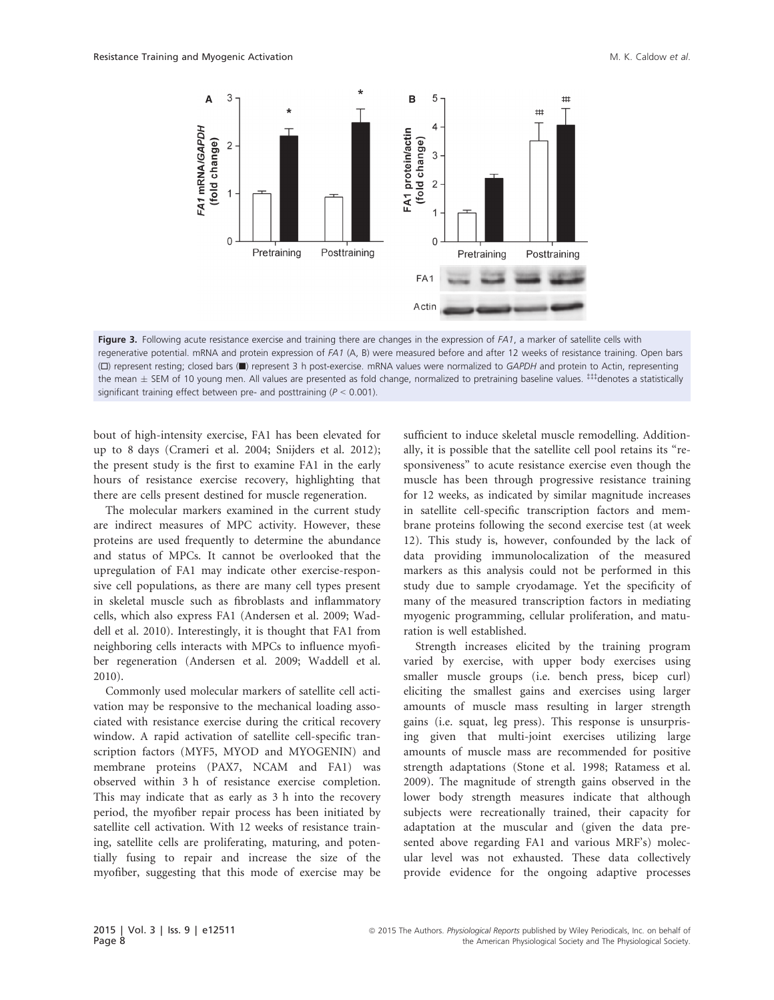

Figure 3. Following acute resistance exercise and training there are changes in the expression of FA1, a marker of satellite cells with regenerative potential. mRNA and protein expression of FA1 (A, B) were measured before and after 12 weeks of resistance training. Open bars (□) represent resting; closed bars (■) represent 3 h post-exercise. mRNA values were normalized to GAPDH and protein to Actin, representing the mean  $\pm$  SEM of 10 young men. All values are presented as fold change, normalized to pretraining baseline values.  $\text{++}$  denotes a statistically significant training effect between pre- and posttraining ( $P < 0.001$ ).

bout of high-intensity exercise, FA1 has been elevated for up to 8 days (Crameri et al. 2004; Snijders et al. 2012); the present study is the first to examine FA1 in the early hours of resistance exercise recovery, highlighting that there are cells present destined for muscle regeneration.

The molecular markers examined in the current study are indirect measures of MPC activity. However, these proteins are used frequently to determine the abundance and status of MPCs. It cannot be overlooked that the upregulation of FA1 may indicate other exercise-responsive cell populations, as there are many cell types present in skeletal muscle such as fibroblasts and inflammatory cells, which also express FA1 (Andersen et al. 2009; Waddell et al. 2010). Interestingly, it is thought that FA1 from neighboring cells interacts with MPCs to influence myofiber regeneration (Andersen et al. 2009; Waddell et al. 2010).

Commonly used molecular markers of satellite cell activation may be responsive to the mechanical loading associated with resistance exercise during the critical recovery window. A rapid activation of satellite cell-specific transcription factors (MYF5, MYOD and MYOGENIN) and membrane proteins (PAX7, NCAM and FA1) was observed within 3 h of resistance exercise completion. This may indicate that as early as 3 h into the recovery period, the myofiber repair process has been initiated by satellite cell activation. With 12 weeks of resistance training, satellite cells are proliferating, maturing, and potentially fusing to repair and increase the size of the myofiber, suggesting that this mode of exercise may be sufficient to induce skeletal muscle remodelling. Additionally, it is possible that the satellite cell pool retains its "responsiveness" to acute resistance exercise even though the muscle has been through progressive resistance training for 12 weeks, as indicated by similar magnitude increases in satellite cell-specific transcription factors and membrane proteins following the second exercise test (at week 12). This study is, however, confounded by the lack of data providing immunolocalization of the measured markers as this analysis could not be performed in this study due to sample cryodamage. Yet the specificity of many of the measured transcription factors in mediating myogenic programming, cellular proliferation, and maturation is well established.

Strength increases elicited by the training program varied by exercise, with upper body exercises using smaller muscle groups (i.e. bench press, bicep curl) eliciting the smallest gains and exercises using larger amounts of muscle mass resulting in larger strength gains (i.e. squat, leg press). This response is unsurprising given that multi-joint exercises utilizing large amounts of muscle mass are recommended for positive strength adaptations (Stone et al. 1998; Ratamess et al. 2009). The magnitude of strength gains observed in the lower body strength measures indicate that although subjects were recreationally trained, their capacity for adaptation at the muscular and (given the data presented above regarding FA1 and various MRF's) molecular level was not exhausted. These data collectively provide evidence for the ongoing adaptive processes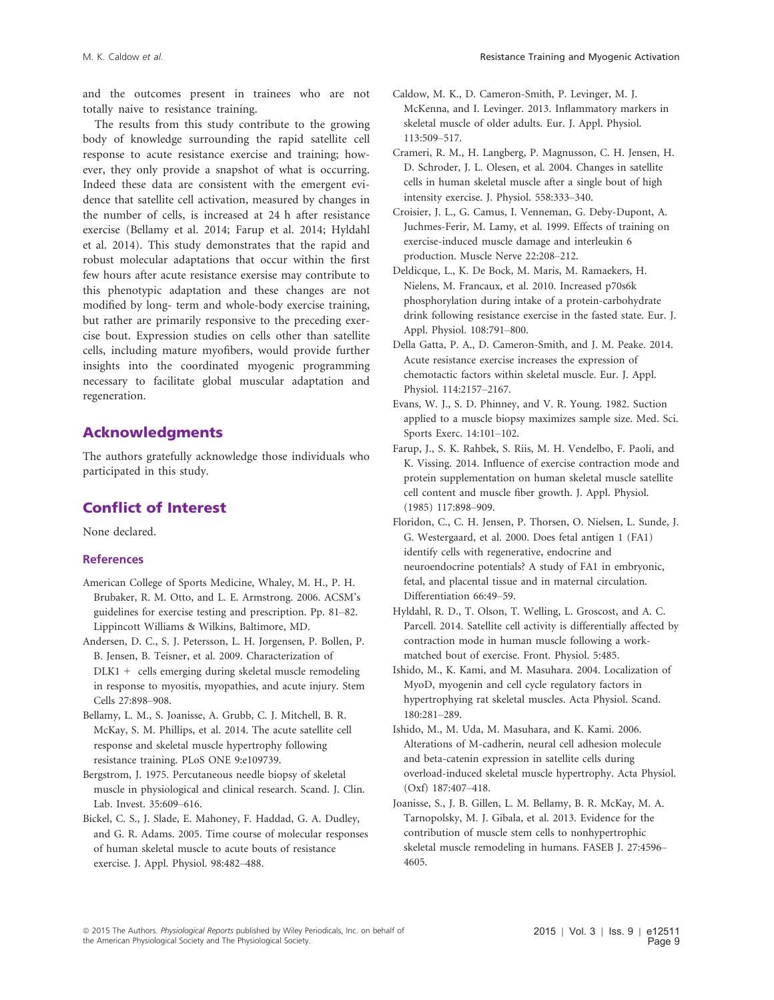and the outcomes present in trainees who are not totally naive to resistance training.

The results from this study contribute to the growing body of knowledge surrounding the rapid satellite cell response to acute resistance exercise and training; however, they only provide a snapshot of what is occurring. Indeed these data are consistent with the emergent evidence that satellite cell activation, measured by changes in the number of cells, is increased at 24 h after resistance exercise (Bellamy et al. 2014; Farup et al. 2014; Hyldahl et al. 2014). This study demonstrates that the rapid and robust molecular adaptations that occur within the first few hours after acute resistance exersise may contribute to this phenotypic adaptation and these changes are not modified by long- term and whole-body exercise training, but rather are primarily responsive to the preceding exercise bout. Expression studies on cells other than satellite cells, including mature myofibers, would provide further insights into the coordinated myogenic programming necessary to facilitate global muscular adaptation and regeneration.

# Acknowledgments

The authors gratefully acknowledge those individuals who participated in this study.

# Conflict of Interest

None declared.

#### **References**

- American College of Sports Medicine, Whaley, M. H., P. H. Brubaker, R. M. Otto, and L. E. Armstrong. 2006. ACSM's guidelines for exercise testing and prescription. Pp. 81–82. Lippincott Williams & Wilkins, Baltimore, MD.
- Andersen, D. C., S. J. Petersson, L. H. Jorgensen, P. Bollen, P. B. Jensen, B. Teisner, et al. 2009. Characterization of DLK1 + cells emerging during skeletal muscle remodeling in response to myositis, myopathies, and acute injury. Stem Cells 27:898–908.
- Bellamy, L. M., S. Joanisse, A. Grubb, C. J. Mitchell, B. R. McKay, S. M. Phillips, et al. 2014. The acute satellite cell response and skeletal muscle hypertrophy following resistance training. PLoS ONE 9:e109739.
- Bergstrom, J. 1975. Percutaneous needle biopsy of skeletal muscle in physiological and clinical research. Scand. J. Clin. Lab. Invest. 35:609–616.
- Bickel, C. S., J. Slade, E. Mahoney, F. Haddad, G. A. Dudley, and G. R. Adams. 2005. Time course of molecular responses of human skeletal muscle to acute bouts of resistance exercise. J. Appl. Physiol. 98:482–488.
- Caldow, M. K., D. Cameron-Smith, P. Levinger, M. J. McKenna, and I. Levinger. 2013. Inflammatory markers in skeletal muscle of older adults. Eur. J. Appl. Physiol. 113:509–517.
- Crameri, R. M., H. Langberg, P. Magnusson, C. H. Jensen, H. D. Schroder, J. L. Olesen, et al. 2004. Changes in satellite cells in human skeletal muscle after a single bout of high intensity exercise. J. Physiol. 558:333–340.
- Croisier, J. L., G. Camus, I. Venneman, G. Deby-Dupont, A. Juchmes-Ferir, M. Lamy, et al. 1999. Effects of training on exercise-induced muscle damage and interleukin 6 production. Muscle Nerve 22:208–212.
- Deldicque, L., K. De Bock, M. Maris, M. Ramaekers, H. Nielens, M. Francaux, et al. 2010. Increased p70s6k phosphorylation during intake of a protein-carbohydrate drink following resistance exercise in the fasted state. Eur. J. Appl. Physiol. 108:791–800.
- Della Gatta, P. A., D. Cameron-Smith, and J. M. Peake. 2014. Acute resistance exercise increases the expression of chemotactic factors within skeletal muscle. Eur. J. Appl. Physiol. 114:2157–2167.
- Evans, W. J., S. D. Phinney, and V. R. Young. 1982. Suction applied to a muscle biopsy maximizes sample size. Med. Sci. Sports Exerc. 14:101–102.
- Farup, J., S. K. Rahbek, S. Riis, M. H. Vendelbo, F. Paoli, and K. Vissing. 2014. Influence of exercise contraction mode and protein supplementation on human skeletal muscle satellite cell content and muscle fiber growth. J. Appl. Physiol. (1985) 117:898–909.
- Floridon, C., C. H. Jensen, P. Thorsen, O. Nielsen, L. Sunde, J. G. Westergaard, et al. 2000. Does fetal antigen 1 (FA1) identify cells with regenerative, endocrine and neuroendocrine potentials? A study of FA1 in embryonic, fetal, and placental tissue and in maternal circulation. Differentiation 66:49–59.
- Hyldahl, R. D., T. Olson, T. Welling, L. Groscost, and A. C. Parcell. 2014. Satellite cell activity is differentially affected by contraction mode in human muscle following a workmatched bout of exercise. Front. Physiol. 5:485.
- Ishido, M., K. Kami, and M. Masuhara. 2004. Localization of MyoD, myogenin and cell cycle regulatory factors in hypertrophying rat skeletal muscles. Acta Physiol. Scand. 180:281–289.
- Ishido, M., M. Uda, M. Masuhara, and K. Kami. 2006. Alterations of M-cadherin, neural cell adhesion molecule and beta-catenin expression in satellite cells during overload-induced skeletal muscle hypertrophy. Acta Physiol. (Oxf) 187:407–418.
- Joanisse, S., J. B. Gillen, L. M. Bellamy, B. R. McKay, M. A. Tarnopolsky, M. J. Gibala, et al. 2013. Evidence for the contribution of muscle stem cells to nonhypertrophic skeletal muscle remodeling in humans. FASEB J. 27:4596– 4605.